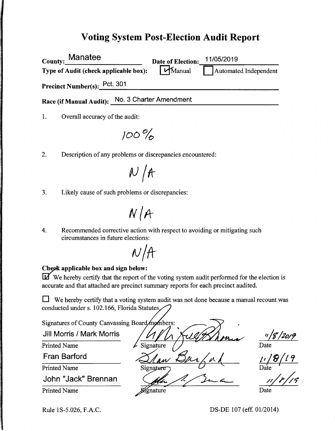## **Voting System Post-Election Audit Report**

| County: Manatee                       | Date of Election:       | 11/05/2019<br>Automated Independent |  |
|---------------------------------------|-------------------------|-------------------------------------|--|
| Type of Audit (check applicable box): | $M$ Manual              |                                     |  |
| Precinct Number(s): Pct. 301          |                         |                                     |  |
| <b>Race (if Manual Audit):</b>        | No. 3 Charter Amendment |                                     |  |

1. Overall accuracy of the audit:

 $100\%$ 

2. Description of any problems or discrepancies encountered:

 $N / A$ 

3. Likely cause of such problems or discrepancies:

 $N/A$ 

4. Recommended corrective action with respect to avoiding or mitigating such circumstances in future elections:

 $N/H$ 

### **Check applicable box and sign below:**

**u** We hereby certify that the report of the voting system audit performed for the election is accurate and that attached are precinct summary reports for each precinct audited.

 $\Box$  We hereby certify that a voting system audit was not done because a manual recount was conducted under s. 102.166, Florida Statutes,

Signatures of County Canvassing Board/mombers. Jill Morris / Mark Morris  $\frac{n/g/2019}{\text{Date}}$ <br> $\frac{11/8/19}{\text{Beta}}$ Printed Name gnature Fran Barford Printed Name Signature John "Jack" Brennan Printed Name

rgnature

Date

Rule lS-5.026, F.A.C.

DS-DE 107 (eff. 01/2014)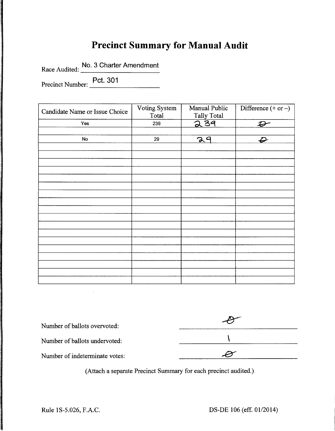# **Precinct Summary for Manual Audit**

Race Audited: No. 3 Charter Amendment

Precinct Number: Pct. 301

| Candidate Name or Issue Choice | Voting System<br>Total | Manual Public<br>Tally Total | Difference $(+ or -)$      |
|--------------------------------|------------------------|------------------------------|----------------------------|
| Yes                            | 239                    | 239                          | $\boldsymbol{\mathcal{D}}$ |
|                                |                        |                              |                            |
| No                             | 29                     | 29                           | $\boldsymbol{\varphi}$     |
|                                |                        |                              |                            |
|                                |                        |                              |                            |
|                                |                        |                              |                            |
|                                |                        |                              |                            |
|                                |                        |                              |                            |
|                                |                        |                              |                            |
|                                |                        |                              |                            |
|                                |                        |                              |                            |
|                                |                        |                              |                            |
|                                |                        |                              |                            |
|                                |                        |                              |                            |
|                                |                        |                              |                            |
|                                |                        |                              |                            |
|                                |                        |                              |                            |
|                                |                        |                              |                            |
|                                |                        |                              |                            |
|                                |                        |                              |                            |
|                                |                        |                              |                            |

| Number of ballots overvoted:   |  |
|--------------------------------|--|
| Number of ballots undervoted:  |  |
| Number of indeterminate votes: |  |

(Attach a separate Precinct Summary for each precinct audited.)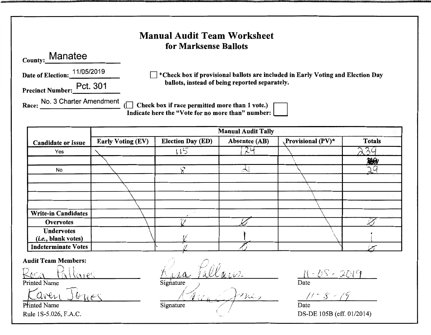| County: Manatee<br>Date of Election: 11/05/2019<br>Precinct Number: Pct. 301 |                          | for Marksense Ballots<br>ballots, instead of being reported separately.                             |                           | $\exists$ *Check box if provisional ballots are included in Early Voting and Election Day |               |
|------------------------------------------------------------------------------|--------------------------|-----------------------------------------------------------------------------------------------------|---------------------------|-------------------------------------------------------------------------------------------|---------------|
| Race: No. 3 Charter Amendment                                                |                          | Check box if race permitted more than 1 vote.)<br>Indicate here the "Vote for no more than" number: | <b>Manual Audit Tally</b> |                                                                                           |               |
| <b>Candidate or Issue</b>                                                    | <b>Early Voting (EV)</b> | Election Day (ED)                                                                                   | <b>Absentee (AB)</b>      | Provisional (PV)*                                                                         | <b>Totals</b> |
| Yes                                                                          |                          | 115                                                                                                 | 74                        |                                                                                           | 39            |
|                                                                              |                          |                                                                                                     |                           |                                                                                           | 熟み            |
| No                                                                           |                          | $\mathcal{S}$                                                                                       | $\lambda$                 |                                                                                           | ηa            |
|                                                                              |                          |                                                                                                     |                           |                                                                                           |               |
|                                                                              |                          |                                                                                                     |                           |                                                                                           |               |
|                                                                              |                          |                                                                                                     |                           |                                                                                           |               |
| <b>Write-in Candidates</b>                                                   |                          |                                                                                                     |                           |                                                                                           |               |
| <b>Overvotes</b>                                                             |                          |                                                                                                     |                           |                                                                                           |               |
| <b>Undervotes</b><br>(i.e., blank votes)                                     |                          |                                                                                                     |                           |                                                                                           |               |
| <b>Indeterminate Votes</b>                                                   |                          |                                                                                                     |                           |                                                                                           |               |
| <b>Audit Team Members:</b><br>allares                                        |                          |                                                                                                     |                           | 11-08-2019                                                                                |               |

Printed Name DUCS Rule 1S-5.026, F.A.C.

B.C.C.  $rac{\sqrt{2}}{\text{Signature}}$ 7 (

 $\frac{77-8-79}{\text{Date}}$ DS-DE 105B (eff. 01/2014)